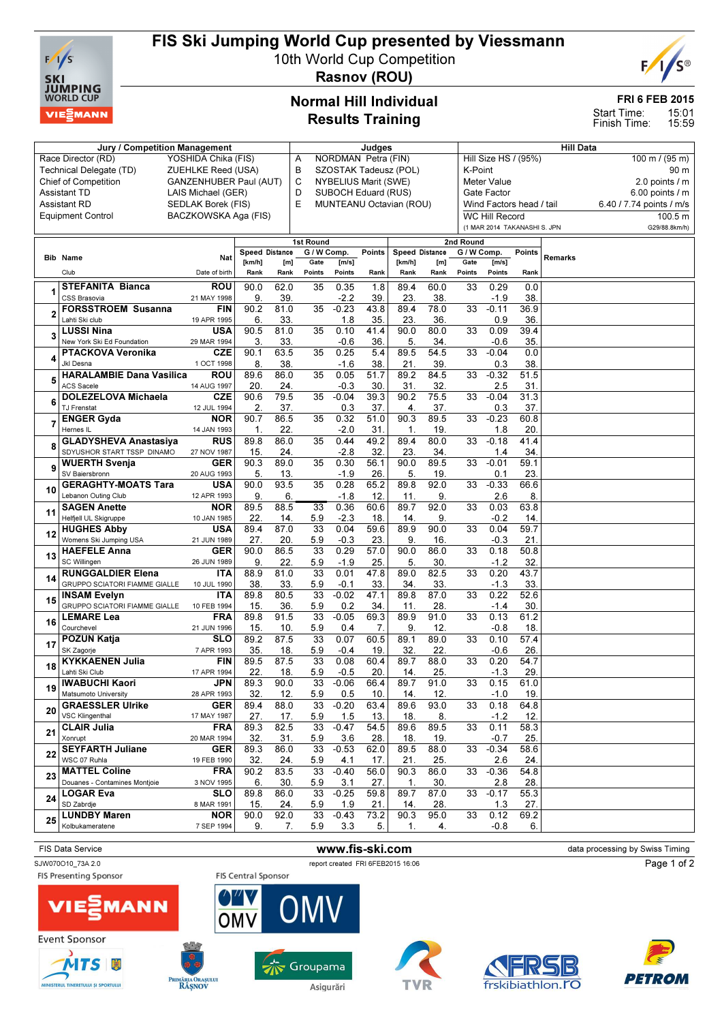

Technical Delegate (TD)

Race Director (RD) YOSHIDA Chika (FIS)<br>Technical Delegate (TD) ZUEHLKE Reed (USA)

# FIS Ski Jumping World Cup presented by Viessmann

10th World Cup Competition



Rasnov (ROU)

### Normal Hill Individual Results Training

Jury / Competition Management Judges Judges Hill Data

A NORDMAN Petra (FIN)<br>B SZOSTAK Tadeusz (PO SZOSTAK Tadeusz (POL)

#### FRI 6 FEB 2015

15:01 15:59 Start Time: Finish Time:

Hill Size HS / (95%) 100 m / (95 m)<br>K-Point 90 m

K-Point

| <b>Chief of Competition</b> |                                     | GANZENHUBER Paul (AUT)    |                              |             | C<br>NYBELIUS Marit (SWE) |                |                 |                              |             |             | <b>Meter Value</b>       |             |                | 2.0 points / m           |
|-----------------------------|-------------------------------------|---------------------------|------------------------------|-------------|---------------------------|----------------|-----------------|------------------------------|-------------|-------------|--------------------------|-------------|----------------|--------------------------|
| <b>Assistant TD</b>         |                                     | LAIS Michael (GER)        |                              |             | D<br>SUBOCH Eduard (RUS)  |                |                 |                              |             |             | Gate Factor              |             |                | $6.00$ points $/ m$      |
| Assistant RD                |                                     | SEDLAK Borek (FIS)        | Ε<br>MUNTEANU Octavian (ROU) |             |                           |                |                 |                              |             |             | Wind Factors head / tail |             |                | 6.40 / 7.74 points / m/s |
|                             | <b>Equipment Control</b>            | BACZKOWSKA Aga (FIS)      |                              |             |                           |                |                 | <b>WC Hill Record</b>        |             |             |                          |             |                | 100.5 m                  |
|                             |                                     |                           |                              |             |                           |                |                 | (1 MAR 2014 TAKANASHI S. JPN |             |             |                          |             |                | G29/88.8km/h)            |
|                             |                                     |                           |                              |             | 1st Round                 |                |                 |                              |             | 2nd Round   |                          |             |                |                          |
|                             |                                     |                           | Speed Distance               |             | G / W Comp.               |                | Points          | <b>Speed Distance</b>        |             | G / W Comp. |                          | Points      |                |                          |
|                             | <b>Bib Name</b>                     | Nat                       | [km/h]                       | [m]         | Gate                      | [m/s]          |                 | [km/h]                       | [m]         | Gate        | [m/s]                    |             | <b>Remarks</b> |                          |
|                             | Club                                | Date of birth             | Rank                         | Rank        | Points                    | Points         | Rank            | Rank                         | Rank        | Points      | Points                   | Rank        |                |                          |
|                             | <b>STEFANITA Bianca</b>             | ROU                       | 90.0                         | 62.0        | 35                        | 0.35           | 1.8             | 89.4                         | 60.0        | 33          | 0.29                     | 0.0         |                |                          |
| 1                           | CSS Brasovia                        | 21 MAY 1998               | 9.                           | 39.         |                           | $-2.2$         | 39.             | 23.                          | 38.         |             | $-1.9$                   | 38.         |                |                          |
|                             | <b>FORSSTROEM Susanna</b>           | FIN                       | 90.2                         | 81.0        | 35                        | $-0.23$        | 43.8            | 89.4                         | 78.0        | 33          | $-0.11$                  | 36.9        |                |                          |
| 2                           | Lahti Ski club                      | 19 APR 1995               | 6.                           | 33.         |                           | 1.8            | 35.             | 23.                          | 36          |             | 0.9                      | 36.         |                |                          |
|                             | <b>LUSSI Nina</b>                   | USA                       | 90.5                         | 81.0        | 35                        | 0.10           | 41.4            | 90.0                         | 80.0        | 33          | 0.09                     | 39.4        |                |                          |
| 3                           | New York Ski Ed Foundation          | 29 MAR 1994               | 3.                           | 33.         |                           | $-0.6$         | 36.             | 5.                           | 34          |             | -0.6                     | 35.         |                |                          |
|                             | PTACKOVA Veronika                   | CZE                       | 90.1                         | 63.5        | 35                        | 0.25           | 5.4             | 89.5                         | 54.5        | 33          | $-0.04$                  | 0.0         |                |                          |
| 4                           | Jkl Desna                           | 1 OCT 1998                | 8.                           | 38.         |                           | $-1.6$         | 38.             | 21.                          | 39          |             | 0.3                      | 38.         |                |                          |
| 5                           | <b>HARALAMBIE Dana Vasilica</b>     | ROU                       | 89.6                         | 86.0        | 35                        | 0.05           | 51.7            | 89.2                         | 84.5        | 33          | $-0.32$                  | 51.5        |                |                          |
|                             | <b>ACS Sacele</b>                   | 14 AUG 1997               | 20                           | 24.         |                           | $-0.3$         | 30.             | 31                           | 32          |             | 2.5                      | 31.         |                |                          |
|                             | <b>DOLEZELOVA Michaela</b>          | CZE                       | 90.6                         | 79.5        | 35                        | $-0.04$        | 39.3            | 90.2                         | 75.5        | 33          | $-0.04$                  | 31.3        |                |                          |
| 6                           | <b>TJ Frenstat</b>                  | 12 JUL 1994               | 2.                           | 37.         |                           | 0.3            | 37.             | 4.                           | 37.         |             | 0.3                      | 37.         |                |                          |
| 7                           | <b>ENGER Gyda</b>                   | <b>NOR</b>                | 90.7                         | 86.5        | 35                        | 0.32           | 51.0            | 90.3                         | 89.5        | 33          | $-0.23$                  | 60.8        |                |                          |
|                             | Hernes IL                           | 14 JAN 1993               | $\mathbf 1$                  | 22.         |                           | $-2.0$         | 31.             | $\mathbf 1$                  | 19          |             | 1.8                      | 20.         |                |                          |
| 8                           | <b>GLADYSHEVA Anastasiya</b>        | RUS                       | 89.8                         | 86.0        | 35                        | 0.44           | 49.2            | 89.4                         | 80.0        | 33          | $-0.18$                  | 41.4        |                |                          |
|                             | SDYUSHOR START TSSP DINAMO          | 27 NOV 1987               | 15.                          | 24.         |                           | $-2.8$         | 32.             | 23.                          | 34          |             | 1.4                      | 34.         |                |                          |
| 9                           | <b>WUERTH Svenja</b>                | <b>GER</b>                | 90.3                         | 89.0        | 35                        | 0.30           | 56.1            | 90.0                         | 89.5        | 33          | $-0.01$                  | 59.1        |                |                          |
|                             | SV Baiersbronn                      | 20 AUG 1993               | 5.                           | 13.         |                           | $-1.9$         | 26.             | 5.                           | 19          |             | 0.1                      | 23.         |                |                          |
| 10                          | <b>GERAGHTY-MOATS Tara</b>          | USA                       | 90.0                         | 93.5        | 35                        | 0.28           | 65.2            | 89.8                         | 92.0        | 33          | $-0.33$                  | 66.6        |                |                          |
|                             | Lebanon Outing Club                 | 12 APR 1993               | 9.                           | 6.          |                           | $-1.8$         | 12.             | 11                           | 9           |             | 2.6                      | 8.          |                |                          |
| 11                          | <b>SAGEN Anette</b>                 | <b>NOR</b>                | 89.5                         | 88.5        | 33                        | 0.36           | 60.6            | 89.7                         | 92.0        | 33          | 0.03                     | 63.8        |                |                          |
|                             | Helfjell UL Skigruppe               | 10 JAN 1985               | 22.                          | 14.         | 5.9                       | $-2.3$         | 18.             | 14                           | 9           |             | -0.2                     | 14.         |                |                          |
| 12                          | <b>HUGHES Abby</b>                  | USA                       | 89.4                         | 87.0        | $\overline{33}$           | 0.04           | 59.6            | 89.9                         | 90.0        | 33          | 0.04                     | 59.7        |                |                          |
|                             | Womens Ski Jumping USA              | 21 JUN 1989               | 27.                          | 20.         | 5.9<br>33                 | $-0.3$<br>0.29 | 23.<br>57.0     | 9                            | 16.<br>86.0 |             | -0.3<br>0.18             | 21<br>50.8  |                |                          |
| 13                          | <b>HAEFELE Anna</b><br>SC Willingen | <b>GER</b><br>26 JUN 1989 | 90.0<br>9.                   | 86.5        |                           | $-1.9$         |                 | 90.0<br>5.                   | 30          | 33          | $-1.2$                   | 32.         |                |                          |
|                             | <b>RUNGGALDIER Elena</b>            | ITA                       | 88.9                         | 22.<br>81.0 | 5.9<br>33                 | 0.01           | 25.<br>47.8     | 89.0                         | 82.5        | 33          | 0.20                     | 43.7        |                |                          |
| 14                          | GRUPPO SCIATORI FIAMME GIALLE       | 10 JUL 1990               | 38.                          | 33.         | 5.9                       | $-0.1$         | 33.             | 34                           | 33.         |             | $-1.3$                   | 33.         |                |                          |
|                             | <b>INSAM Evelyn</b>                 | ITA                       | 89.8                         | 80.5        | 33                        | $-0.02$        | 47.1            | 89.8                         | 87.0        | 33          | 0.22                     | 52.6        |                |                          |
| 15                          | GRUPPO SCIATORI FIAMME GIALLE       | 10 FEB 1994               | 15.                          | 36.         | 5.9                       | 0.2            | 34              | 11                           | 28.         |             | -1.4                     | 30          |                |                          |
|                             | <b>LEMARE Lea</b>                   | FRA                       | 89.8                         | 91.5        | 33                        | $-0.05$        | 69.3            | 89.9                         | 91.0        | 33          | 0.13                     | 61.2        |                |                          |
| 16                          | Courchevel                          | 21 JUN 1996               | 15.                          | 10.         | 5.9                       | 0.4            | 7.              | 9                            | 12.         |             | -0.8                     | 18.         |                |                          |
|                             | <b>POZUN Katja</b>                  | SLO                       | 89.2                         | 87.5        | $\overline{33}$           | 0.07           | 60.5            | 89.1                         | 89.0        | 33          | 0.10                     | 57.4        |                |                          |
| 17                          | SK Zagorje                          | 7 APR 1993                | 35.                          | 18.         | 5.9                       | $-0.4$         | 19.             | 32.                          | 22.         |             | -0.6                     | 26.         |                |                          |
| 18                          | <b>KYKKAENEN Julia</b>              | FIN                       | 89.5                         | 87.5        | 33                        | 0.08           | 60.4            | 89.7                         | 88.0        | 33          | 0.20                     | 54.7        |                |                          |
|                             | Lahti Ski Club                      | 17 APR 1994               | 22.                          | 18.         | 5.9                       | $-0.5$         | 20.             | 14 <sub>1</sub>              | 25.         |             | $-1.3$                   | 29.         |                |                          |
| 19                          | <b>IWABUCHI Kaori</b>               | <b>JPN</b>                | 89.3                         | 90.0        | 33                        | $-0.06$        | 66.4            | 89.7                         | 91.0        | 33          | 0.15                     | 61.0        |                |                          |
|                             | Matsumoto University                | 28 APR 1993               | 32.                          | 12.         | 5.9                       | 0.5            | 10 <sub>1</sub> | 14 <sub>1</sub>              | 12.         |             | $-1.0$                   | 19.         |                |                          |
| 20                          | <b>GRAESSLER Ulrike</b>             | GER                       | 89.4                         | 88.0        | $\overline{33}$           | $-0.20$        | 63.4            | 89.6                         | 93.0        | 33          | 0.18                     | 64.8        |                |                          |
|                             | <b>VSC Klingenthal</b>              | 17 MAY 1987               | 27.                          | 17.         | 5.9                       | 1.5            | 13.             | 18                           | 8.          |             | $-1.2$                   | 12.         |                |                          |
| 21                          | <b>CLAIR Julia</b>                  | <b>FRA</b>                | 89.3                         | 82.5        | 33                        | $-0.47$        | 54.5            | 89.6                         | 89.5        | 33          | 0.11                     | 58.3        |                |                          |
|                             | Xonrupt                             | 20 MAR 1994               | 32.                          | 31.         | 5.9                       | 3.6            | 28.             | 18.                          | 19.         |             | $-0.7$                   | 25.         |                |                          |
| 22                          | <b>SEYFARTH Juliane</b>             | <b>GER</b>                | 89.3                         | 86.0        | $\overline{33}$           | $-0.53$        | 62.0            | 89.5                         | 88.0        | 33          | $-0.34$                  | 58.6        |                |                          |
|                             | WSC 07 Ruhla                        | 19 FEB 1990               | 32.                          | 24.         | 5.9                       | 4.1            | 17.             | 21.                          | 25.         |             | 2.6                      | 24.         |                |                          |
| 23                          | <b>MATTEL Coline</b>                | FRA                       | 90.2                         | 83.5        | 33                        | $-0.40$        | 56.0            | 90.3                         | 86.0        | 33          | $-0.36$                  | 54.8        |                |                          |
| 24                          | Douanes - Contamines Montjoie       | 3 NOV 1995                | 6.                           | 30.         | 5.9<br>33                 | 3.1            | 27.             | $\mathbf 1$<br>89.7          | 30.         |             | 2.8<br>$-0.17$           | 28.         |                |                          |
|                             | <b>LOGAR Eva</b><br>SD Zabrdje      | <b>SLO</b>                | 89.8                         | 86.0        |                           | $-0.25$        | 59.8            |                              | 87.0        | 33          |                          | 55.3        |                |                          |
|                             | <b>LUNDBY Maren</b>                 | 8 MAR 1991<br><b>NOR</b>  | 15.<br>90.0                  | 24.<br>92.0 | 5.9<br>$\overline{33}$    | 1.9<br>$-0.43$ | 21.<br>73.2     | 14.<br>90.3                  | 28.<br>95.0 | 33          | 1.3<br>0.12              | 27.<br>69.2 |                |                          |
| 25                          | Kolbukameratene                     | 7 SEP 1994                | 9.                           | 7.          | 5.9                       | 3.3            | 5.              | $\mathbf{1}$ .               |             |             | $-0.8$                   | 6.          |                |                          |
|                             |                                     |                           |                              |             |                           |                |                 |                              | 4.          |             |                          |             |                |                          |
|                             |                                     |                           |                              |             |                           |                |                 |                              |             |             |                          |             |                |                          |